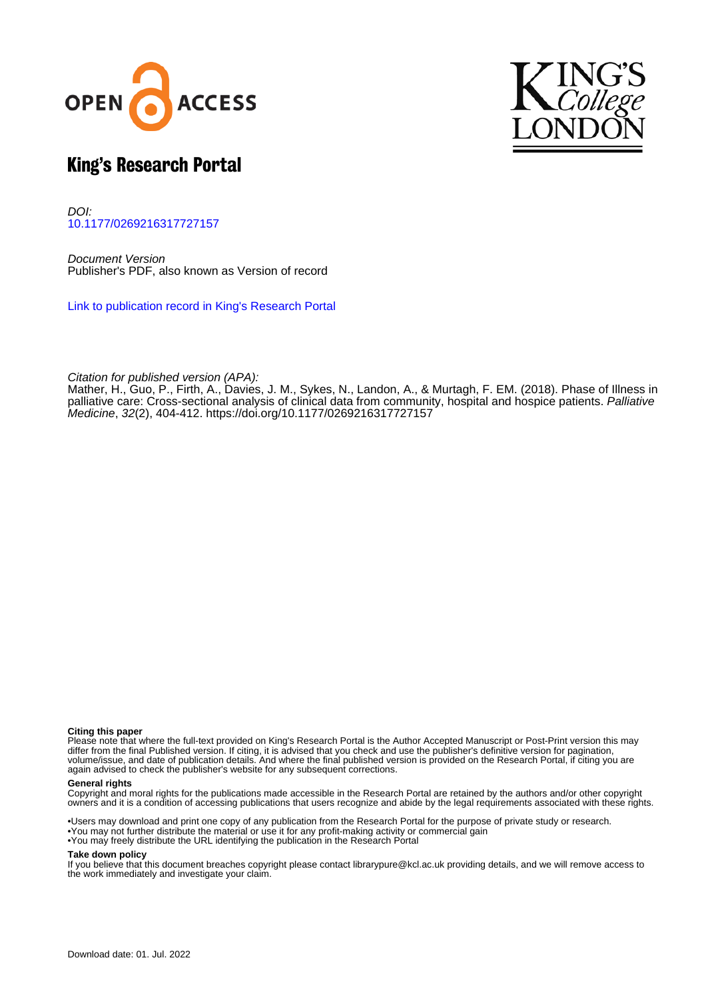



# King's Research Portal

DOI: [10.1177/0269216317727157](https://doi.org/10.1177/0269216317727157)

Document Version Publisher's PDF, also known as Version of record

[Link to publication record in King's Research Portal](https://kclpure.kcl.ac.uk/portal/en/publications/phase-of-illness-in-palliative-care(a37cbf15-c743-44af-b2fe-49d02110c4e5).html)

Citation for published version (APA):

Mather, H.[, Guo, P.](https://kclpure.kcl.ac.uk/portal/en/persons/ping-guo(43b5cc27-5f03-4fd4-8c94-e2cd2cfe2b46).html)[, Firth, A.](/portal/alice.firth.html)[, Davies, J. M.](/portal/joannamariedavies.html), Sykes, N., Landon, A., & Murtagh, F. EM. (2018). [Phase of Illness in](https://kclpure.kcl.ac.uk/portal/en/publications/phase-of-illness-in-palliative-care(a37cbf15-c743-44af-b2fe-49d02110c4e5).html) [palliative care: Cross-sectional analysis of clinical data from community, hospital and hospice patients](https://kclpure.kcl.ac.uk/portal/en/publications/phase-of-illness-in-palliative-care(a37cbf15-c743-44af-b2fe-49d02110c4e5).html). [Palliative](https://kclpure.kcl.ac.uk/portal/en/journals/palliative-medicine(fb2d7288-27c4-44b0-99c8-64934352bd3f).html) [Medicine](https://kclpure.kcl.ac.uk/portal/en/journals/palliative-medicine(fb2d7288-27c4-44b0-99c8-64934352bd3f).html), 32(2), 404-412. <https://doi.org/10.1177/0269216317727157>

#### **Citing this paper**

Please note that where the full-text provided on King's Research Portal is the Author Accepted Manuscript or Post-Print version this may differ from the final Published version. If citing, it is advised that you check and use the publisher's definitive version for pagination, volume/issue, and date of publication details. And where the final published version is provided on the Research Portal, if citing you are again advised to check the publisher's website for any subsequent corrections.

#### **General rights**

Copyright and moral rights for the publications made accessible in the Research Portal are retained by the authors and/or other copyright owners and it is a condition of accessing publications that users recognize and abide by the legal requirements associated with these rights.

•Users may download and print one copy of any publication from the Research Portal for the purpose of private study or research. •You may not further distribute the material or use it for any profit-making activity or commercial gain •You may freely distribute the URL identifying the publication in the Research Portal

#### **Take down policy**

If you believe that this document breaches copyright please contact librarypure@kcl.ac.uk providing details, and we will remove access to the work immediately and investigate your claim.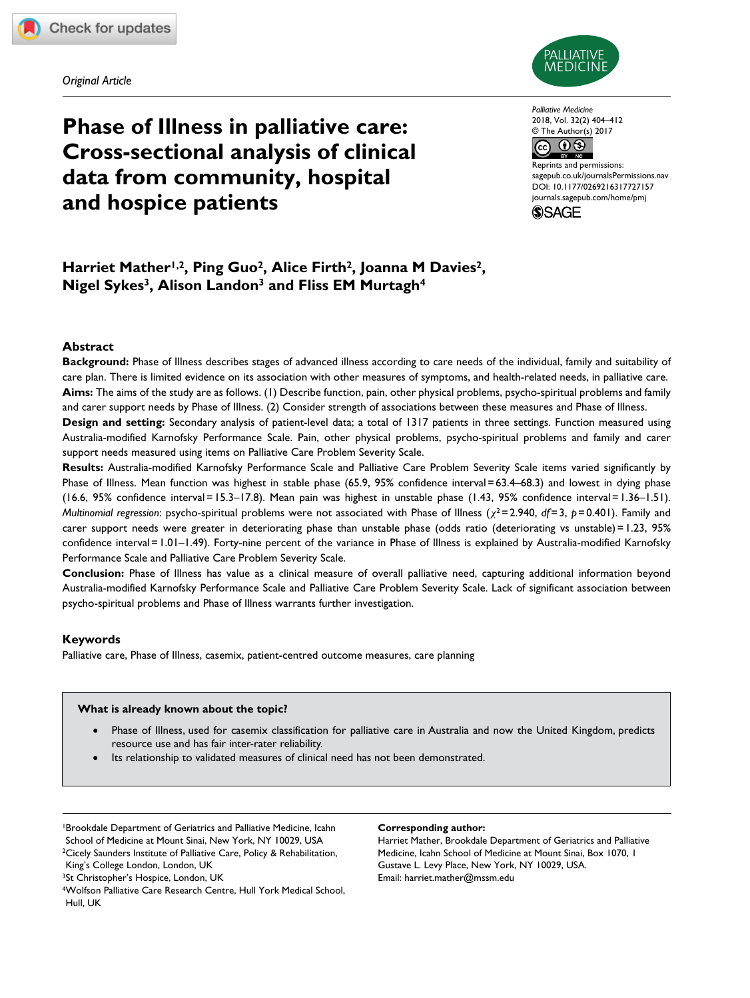*Original Article*



*Palliative Medicine* 2018, Vol. 32(2) 404–412 © The Author(s) 2017

ெ 0

Reprints and permissions: [sagepub.co.uk/journalsPermissions.nav](https://uk.sagepub.com/en-gb/journals-permissions) DOI: 10.1177/0269216317727157 [journals.sagepub.com/home/pmj](http://journals.sagepub.com/home/pmj) **SSAGE** 

## Harriet Mather<sup>1,2</sup>, Ping Guo<sup>2</sup>, Alice Firth<sup>2</sup>, Joanna M Davies<sup>2</sup>, **Nigel Sykes3, Alison Landon3 and Fliss EM Murtagh4**

**Phase of Illness in palliative care: Cross-sectional analysis of clinical** 

**data from community, hospital** 

**and hospice patients**

## **Abstract**

**Background:** Phase of Illness describes stages of advanced illness according to care needs of the individual, family and suitability of care plan. There is limited evidence on its association with other measures of symptoms, and health-related needs, in palliative care. **Aims:** The aims of the study are as follows. (1) Describe function, pain, other physical problems, psycho-spiritual problems and family and carer support needs by Phase of Illness. (2) Consider strength of associations between these measures and Phase of Illness.

**Design and setting:** Secondary analysis of patient-level data; a total of 1317 patients in three settings. Function measured using Australia-modified Karnofsky Performance Scale. Pain, other physical problems, psycho-spiritual problems and family and carer support needs measured using items on Palliative Care Problem Severity Scale.

**Results:** Australia-modified Karnofsky Performance Scale and Palliative Care Problem Severity Scale items varied significantly by Phase of Illness. Mean function was highest in stable phase (65.9, 95% confidence interval=63.4–68.3) and lowest in dying phase (16.6, 95% confidence interval=15.3–17.8). Mean pain was highest in unstable phase (1.43, 95% confidence interval=1.36–1.51). *Multinomial regression: psycho-spiritual problems were not associated with Phase of Illness (* $\chi^2$ *=2.940, <i>df*=3, *p*=0.401). Family and carer support needs were greater in deteriorating phase than unstable phase (odds ratio (deteriorating vs unstable)=1.23, 95% confidence interval=1.01-1.49). Forty-nine percent of the variance in Phase of Illness is explained by Australia-modified Karnofsky Performance Scale and Palliative Care Problem Severity Scale.

**Conclusion:** Phase of Illness has value as a clinical measure of overall palliative need, capturing additional information beyond Australia-modified Karnofsky Performance Scale and Palliative Care Problem Severity Scale. Lack of significant association between psycho-spiritual problems and Phase of Illness warrants further investigation.

#### **Keywords**

Palliative care, Phase of Illness, casemix, patient-centred outcome measures, care planning

#### **What is already known about the topic?**

- Phase of Illness, used for casemix classification for palliative care in Australia and now the United Kingdom, predicts resource use and has fair inter-rater reliability.
- Its relationship to validated measures of clinical need has not been demonstrated.

1Brookdale Department of Geriatrics and Palliative Medicine, Icahn School of Medicine at Mount Sinai, New York, NY 10029, USA 2Cicely Saunders Institute of Palliative Care, Policy & Rehabilitation, King's College London, London, UK

<sup>3</sup>St Christopher's Hospice, London, UK

4Wolfson Palliative Care Research Centre, Hull York Medical School, Hull, UK

#### **Corresponding author:**

Harriet Mather, Brookdale Department of Geriatrics and Palliative Medicine, Icahn School of Medicine at Mount Sinai, Box 1070, 1 Gustave L. Levy Place, New York, NY 10029, USA. Email: [harriet.mather@mssm.edu](mailto:harriet.mather@mssm.edu)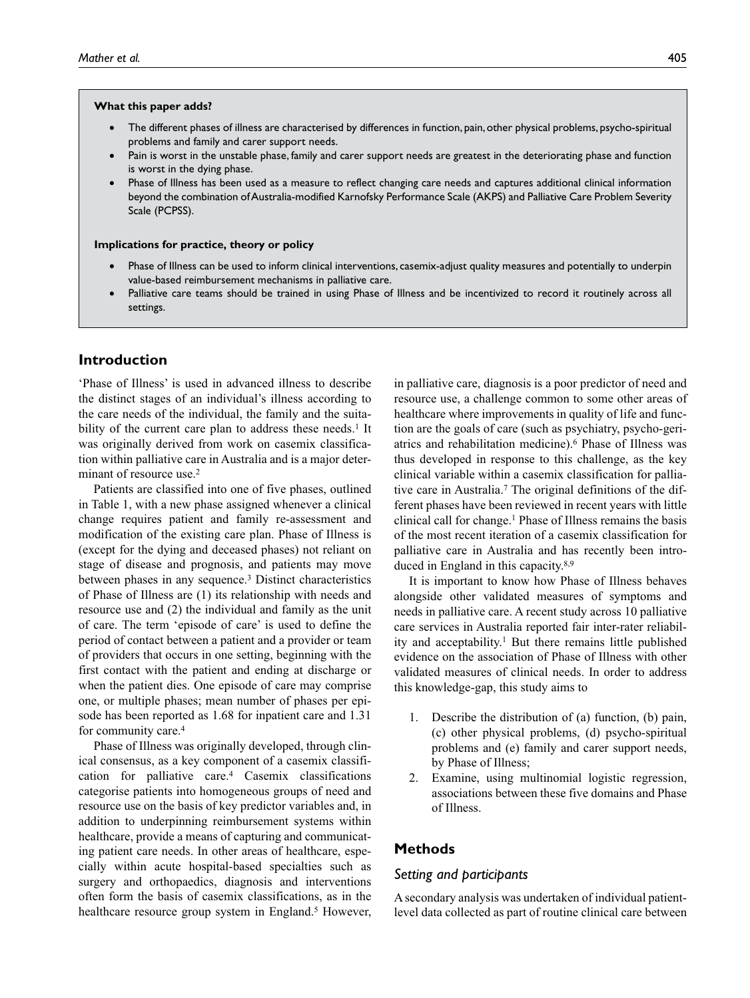#### **What this paper adds?**

- The different phases of illness are characterised by differences in function, pain, other physical problems, psycho-spiritual problems and family and carer support needs.
- Pain is worst in the unstable phase, family and carer support needs are greatest in the deteriorating phase and function is worst in the dying phase.
- Phase of Illness has been used as a measure to reflect changing care needs and captures additional clinical information beyond the combination of Australia-modified Karnofsky Performance Scale (AKPS) and Palliative Care Problem Severity Scale (PCPSS).

#### **Implications for practice, theory or policy**

- Phase of Illness can be used to inform clinical interventions, casemix-adjust quality measures and potentially to underpin value-based reimbursement mechanisms in palliative care.
- Palliative care teams should be trained in using Phase of Illness and be incentivized to record it routinely across all settings.

## **Introduction**

'Phase of Illness' is used in advanced illness to describe the distinct stages of an individual's illness according to the care needs of the individual, the family and the suitability of the current care plan to address these needs.<sup>1</sup> It was originally derived from work on casemix classification within palliative care in Australia and is a major determinant of resource use.<sup>2</sup>

Patients are classified into one of five phases, outlined in Table 1, with a new phase assigned whenever a clinical change requires patient and family re-assessment and modification of the existing care plan. Phase of Illness is (except for the dying and deceased phases) not reliant on stage of disease and prognosis, and patients may move between phases in any sequence.3 Distinct characteristics of Phase of Illness are (1) its relationship with needs and resource use and (2) the individual and family as the unit of care. The term 'episode of care' is used to define the period of contact between a patient and a provider or team of providers that occurs in one setting, beginning with the first contact with the patient and ending at discharge or when the patient dies. One episode of care may comprise one, or multiple phases; mean number of phases per episode has been reported as 1.68 for inpatient care and 1.31 for community care.4

Phase of Illness was originally developed, through clinical consensus, as a key component of a casemix classification for palliative care.4 Casemix classifications categorise patients into homogeneous groups of need and resource use on the basis of key predictor variables and, in addition to underpinning reimbursement systems within healthcare, provide a means of capturing and communicating patient care needs. In other areas of healthcare, especially within acute hospital-based specialties such as surgery and orthopaedics, diagnosis and interventions often form the basis of casemix classifications, as in the healthcare resource group system in England.<sup>5</sup> However,

in palliative care, diagnosis is a poor predictor of need and resource use, a challenge common to some other areas of healthcare where improvements in quality of life and function are the goals of care (such as psychiatry, psycho-geriatrics and rehabilitation medicine).6 Phase of Illness was thus developed in response to this challenge, as the key clinical variable within a casemix classification for palliative care in Australia.7 The original definitions of the different phases have been reviewed in recent years with little clinical call for change.1 Phase of Illness remains the basis of the most recent iteration of a casemix classification for palliative care in Australia and has recently been introduced in England in this capacity.8,9

It is important to know how Phase of Illness behaves alongside other validated measures of symptoms and needs in palliative care. A recent study across 10 palliative care services in Australia reported fair inter-rater reliability and acceptability.1 But there remains little published evidence on the association of Phase of Illness with other validated measures of clinical needs. In order to address this knowledge-gap, this study aims to

- 1. Describe the distribution of (a) function, (b) pain, (c) other physical problems, (d) psycho-spiritual problems and (e) family and carer support needs, by Phase of Illness;
- 2. Examine, using multinomial logistic regression, associations between these five domains and Phase of Illness.

## **Methods**

#### *Setting and participants*

A secondary analysis was undertaken of individual patientlevel data collected as part of routine clinical care between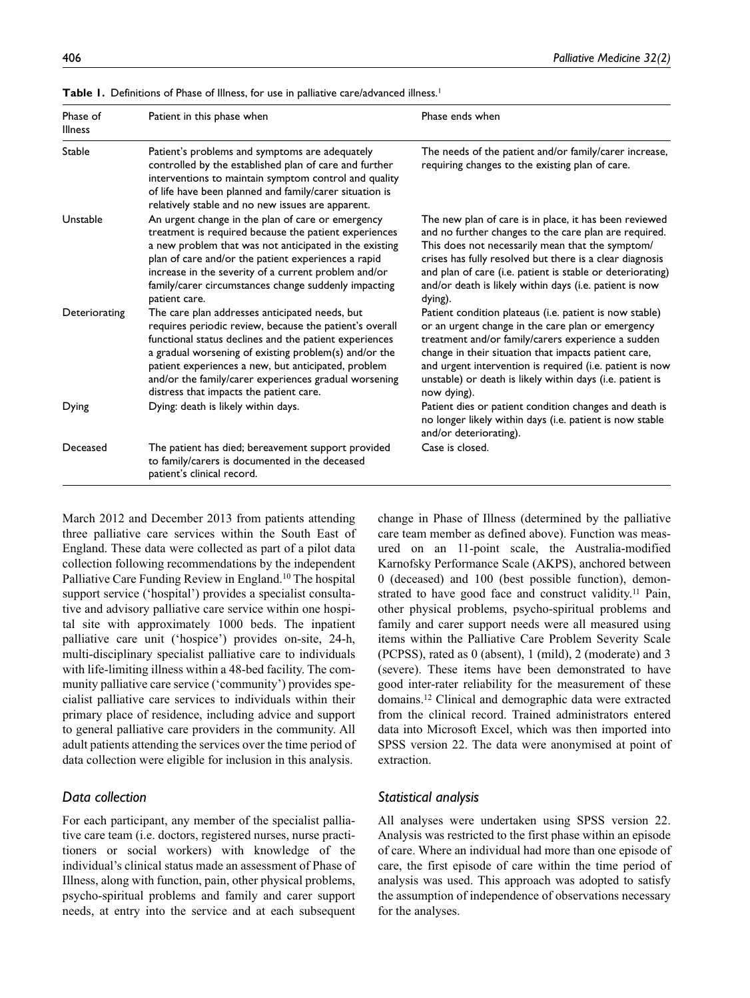| Phase of<br><b>Illness</b> | Patient in this phase when                                                                                                                                                                                                                                                                                                                                                              | Phase ends when                                                                                                                                                                                                                                                                                                                                                     |  |  |
|----------------------------|-----------------------------------------------------------------------------------------------------------------------------------------------------------------------------------------------------------------------------------------------------------------------------------------------------------------------------------------------------------------------------------------|---------------------------------------------------------------------------------------------------------------------------------------------------------------------------------------------------------------------------------------------------------------------------------------------------------------------------------------------------------------------|--|--|
| Stable                     | Patient's problems and symptoms are adequately<br>controlled by the established plan of care and further<br>interventions to maintain symptom control and quality<br>of life have been planned and family/carer situation is<br>relatively stable and no new issues are apparent.                                                                                                       | The needs of the patient and/or family/carer increase,<br>requiring changes to the existing plan of care.                                                                                                                                                                                                                                                           |  |  |
| Unstable                   | An urgent change in the plan of care or emergency<br>treatment is required because the patient experiences<br>a new problem that was not anticipated in the existing<br>plan of care and/or the patient experiences a rapid<br>increase in the severity of a current problem and/or<br>family/carer circumstances change suddenly impacting<br>patient care.                            | The new plan of care is in place, it has been reviewed<br>and no further changes to the care plan are required.<br>This does not necessarily mean that the symptom/<br>crises has fully resolved but there is a clear diagnosis<br>and plan of care (i.e. patient is stable or deteriorating)<br>and/or death is likely within days (i.e. patient is now<br>dying). |  |  |
| Deteriorating              | The care plan addresses anticipated needs, but<br>requires periodic review, because the patient's overall<br>functional status declines and the patient experiences<br>a gradual worsening of existing problem(s) and/or the<br>patient experiences a new, but anticipated, problem<br>and/or the family/carer experiences gradual worsening<br>distress that impacts the patient care. | Patient condition plateaus (i.e. patient is now stable)<br>or an urgent change in the care plan or emergency<br>treatment and/or family/carers experience a sudden<br>change in their situation that impacts patient care,<br>and urgent intervention is required (i.e. patient is now<br>unstable) or death is likely within days (i.e. patient is<br>now dying).  |  |  |
| Dying                      | Dying: death is likely within days.                                                                                                                                                                                                                                                                                                                                                     | Patient dies or patient condition changes and death is<br>no longer likely within days (i.e. patient is now stable<br>and/or deteriorating).                                                                                                                                                                                                                        |  |  |
| Deceased                   | The patient has died; bereavement support provided<br>to family/carers is documented in the deceased<br>patient's clinical record.                                                                                                                                                                                                                                                      | Case is closed.                                                                                                                                                                                                                                                                                                                                                     |  |  |

Table 1. Definitions of Phase of Illness, for use in palliative care/advanced illness.<sup>1</sup>

March 2012 and December 2013 from patients attending three palliative care services within the South East of England. These data were collected as part of a pilot data collection following recommendations by the independent Palliative Care Funding Review in England.<sup>10</sup> The hospital support service ('hospital') provides a specialist consultative and advisory palliative care service within one hospital site with approximately 1000 beds. The inpatient palliative care unit ('hospice') provides on-site, 24-h, multi-disciplinary specialist palliative care to individuals with life-limiting illness within a 48-bed facility. The community palliative care service ('community') provides specialist palliative care services to individuals within their primary place of residence, including advice and support to general palliative care providers in the community. All adult patients attending the services over the time period of data collection were eligible for inclusion in this analysis.

## *Data collection*

For each participant, any member of the specialist palliative care team (i.e. doctors, registered nurses, nurse practitioners or social workers) with knowledge of the individual's clinical status made an assessment of Phase of Illness, along with function, pain, other physical problems, psycho-spiritual problems and family and carer support needs, at entry into the service and at each subsequent

change in Phase of Illness (determined by the palliative care team member as defined above). Function was measured on an 11-point scale, the Australia-modified Karnofsky Performance Scale (AKPS), anchored between 0 (deceased) and 100 (best possible function), demonstrated to have good face and construct validity.<sup>11</sup> Pain, other physical problems, psycho-spiritual problems and family and carer support needs were all measured using items within the Palliative Care Problem Severity Scale (PCPSS), rated as 0 (absent), 1 (mild), 2 (moderate) and 3 (severe). These items have been demonstrated to have good inter-rater reliability for the measurement of these domains.12 Clinical and demographic data were extracted from the clinical record. Trained administrators entered data into Microsoft Excel, which was then imported into SPSS version 22. The data were anonymised at point of extraction.

## *Statistical analysis*

All analyses were undertaken using SPSS version 22. Analysis was restricted to the first phase within an episode of care. Where an individual had more than one episode of care, the first episode of care within the time period of analysis was used. This approach was adopted to satisfy the assumption of independence of observations necessary for the analyses.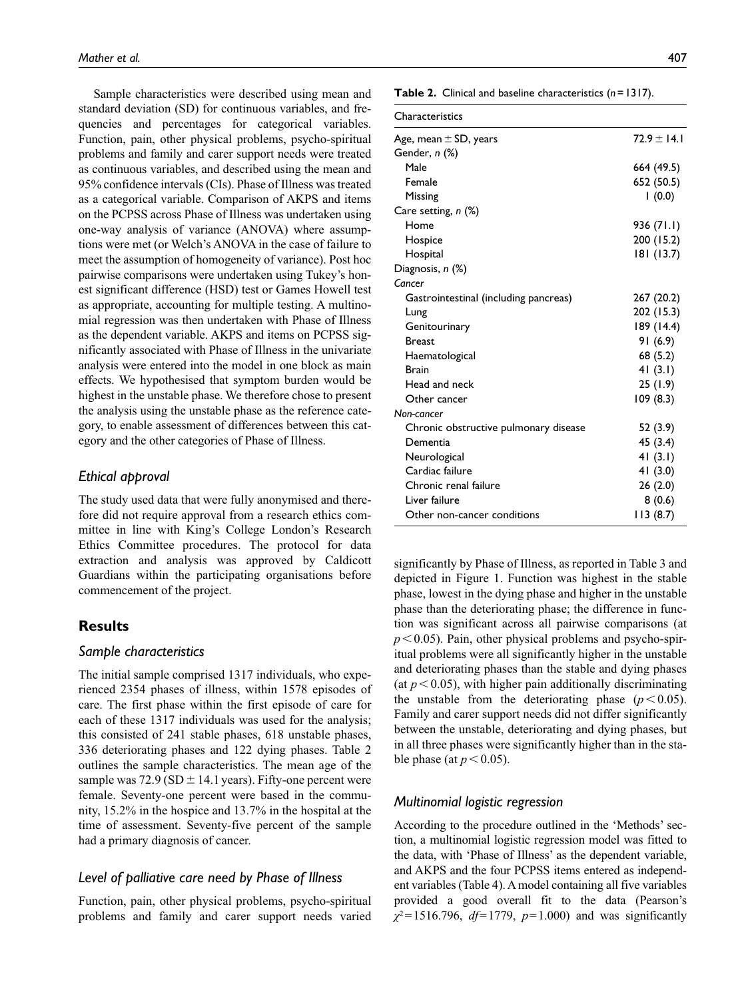Sample characteristics were described using mean and standard deviation (SD) for continuous variables, and frequencies and percentages for categorical variables. Function, pain, other physical problems, psycho-spiritual problems and family and carer support needs were treated as continuous variables, and described using the mean and 95% confidence intervals (CIs). Phase of Illness was treated as a categorical variable. Comparison of AKPS and items on the PCPSS across Phase of Illness was undertaken using one-way analysis of variance (ANOVA) where assumptions were met (or Welch's ANOVA in the case of failure to meet the assumption of homogeneity of variance). Post hoc pairwise comparisons were undertaken using Tukey's honest significant difference (HSD) test or Games Howell test as appropriate, accounting for multiple testing. A multinomial regression was then undertaken with Phase of Illness as the dependent variable. AKPS and items on PCPSS significantly associated with Phase of Illness in the univariate analysis were entered into the model in one block as main effects. We hypothesised that symptom burden would be highest in the unstable phase. We therefore chose to present the analysis using the unstable phase as the reference category, to enable assessment of differences between this category and the other categories of Phase of Illness.

## *Ethical approval*

The study used data that were fully anonymised and therefore did not require approval from a research ethics committee in line with King's College London's Research Ethics Committee procedures. The protocol for data extraction and analysis was approved by Caldicott Guardians within the participating organisations before commencement of the project.

## **Results**

## *Sample characteristics*

The initial sample comprised 1317 individuals, who experienced 2354 phases of illness, within 1578 episodes of care. The first phase within the first episode of care for each of these 1317 individuals was used for the analysis; this consisted of 241 stable phases, 618 unstable phases, 336 deteriorating phases and 122 dying phases. Table 2 outlines the sample characteristics. The mean age of the sample was  $72.9$  (SD  $\pm$  14.1 years). Fifty-one percent were female. Seventy-one percent were based in the community, 15.2% in the hospice and 13.7% in the hospital at the time of assessment. Seventy-five percent of the sample had a primary diagnosis of cancer.

## *Level of palliative care need by Phase of Illness*

Function, pain, other physical problems, psycho-spiritual problems and family and carer support needs varied **Table 2.** Clinical and baseline characteristics (*n*=1317).

| Characteristics                       |               |
|---------------------------------------|---------------|
| Age, mean $\pm$ SD, years             | $72.9 + 14.1$ |
| Gender, n (%)                         |               |
| Male                                  | 664 (49.5)    |
| Female                                | 652 (50.5)    |
| Missing                               | (0.0)         |
| Care setting, n (%)                   |               |
| Home                                  | 936 (71.1)    |
| Hospice                               | 200 (15.2)    |
| Hospital                              | 181(13.7)     |
| Diagnosis, n (%)                      |               |
| Cancer                                |               |
| Gastrointestinal (including pancreas) | 267 (20.2)    |
| Lung                                  | 202 (15.3)    |
| Genitourinary                         | 189 (14.4)    |
| <b>Breast</b>                         | 91(6.9)       |
| Haematological                        | 68 (5.2)      |
| <b>Brain</b>                          | 41 (3.1)      |
| Head and neck                         | 25(1.9)       |
| Other cancer                          | 109(8.3)      |
| Non-cancer                            |               |
| Chronic obstructive pulmonary disease | 52 (3.9)      |
| Dementia                              | 45 (3.4)      |
| Neurological                          | 41(3.1)       |
| Cardiac failure                       | 41 (3.0)      |
| Chronic renal failure                 | 26 (2.0)      |
| Liver failure                         | 8(0.6)        |
| Other non-cancer conditions           | 113 (8.7)     |

significantly by Phase of Illness, as reported in Table 3 and depicted in Figure 1. Function was highest in the stable phase, lowest in the dying phase and higher in the unstable phase than the deteriorating phase; the difference in function was significant across all pairwise comparisons (at  $p < 0.05$ ). Pain, other physical problems and psycho-spiritual problems were all significantly higher in the unstable and deteriorating phases than the stable and dying phases (at  $p < 0.05$ ), with higher pain additionally discriminating the unstable from the deteriorating phase  $(p < 0.05)$ . Family and carer support needs did not differ significantly between the unstable, deteriorating and dying phases, but in all three phases were significantly higher than in the stable phase (at  $p < 0.05$ ).

## *Multinomial logistic regression*

According to the procedure outlined in the 'Methods' section, a multinomial logistic regression model was fitted to the data, with 'Phase of Illness' as the dependent variable, and AKPS and the four PCPSS items entered as independent variables (Table 4). A model containing all five variables provided a good overall fit to the data (Pearson's *χ*2=1516.796, *df*=1779, *p*=1.000) and was significantly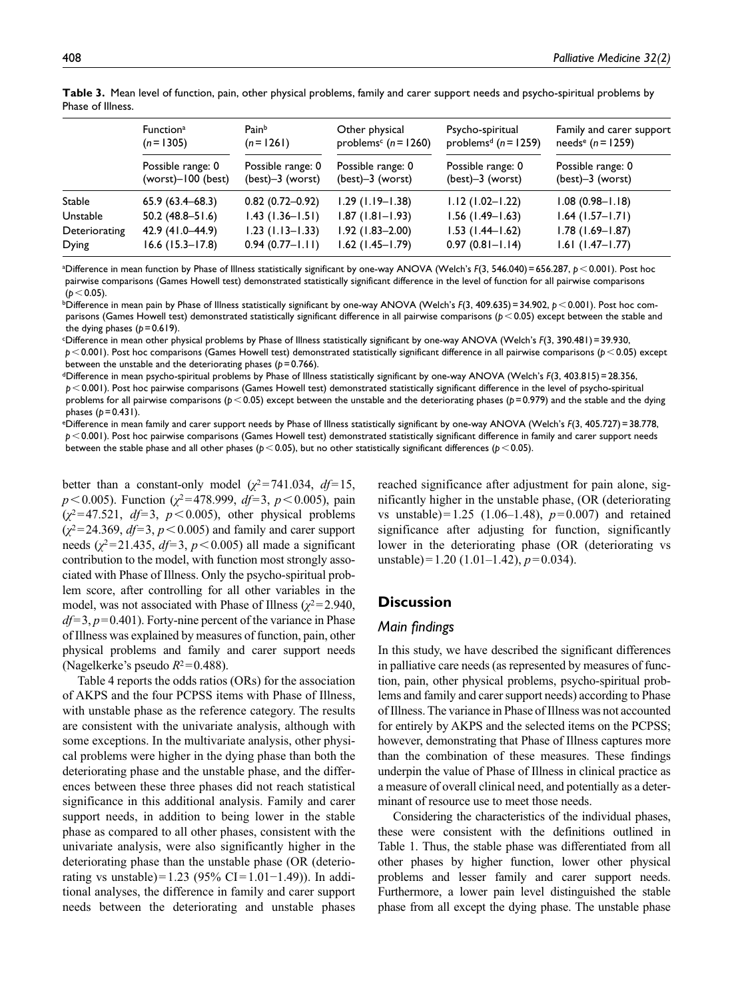|               | Function <sup>a</sup><br>$(n=1305)$       | Painb<br>$(n = 1261)$                 | Other physical<br>problems <sup>c</sup> ( $n = 1260$ ) | Psycho-spiritual<br>problems <sup>d</sup> ( $n = 1259$ ) | Family and carer support<br>needs <sup>e</sup> (n = 1259)<br>Possible range: 0<br>$(best) - 3$ (worst) |  |
|---------------|-------------------------------------------|---------------------------------------|--------------------------------------------------------|----------------------------------------------------------|--------------------------------------------------------------------------------------------------------|--|
|               | Possible range: 0<br>$(word)$ -100 (best) | Possible range: 0<br>(best)-3 (worst) | Possible range: 0<br>$(best) - 3$ (worst)              | Possible range: 0<br>$(best) - 3$ (worst)                |                                                                                                        |  |
| Stable        | $65.9(63.4 - 68.3)$                       | $0.82(0.72 - 0.92)$                   | $1.29(1.19 - 1.38)$                                    | $1.12(1.02 - 1.22)$                                      | $1.08(0.98 - 1.18)$                                                                                    |  |
| Unstable      | 50.2 $(48.8 - 51.6)$                      | I.43 (I.36–I.51)                      | $1.87(1.81 - 1.93)$                                    | $1.56$ (1.49-1.63)                                       | $1.64$ (1.57–1.71)                                                                                     |  |
| Deteriorating | 42.9 (41.0-44.9)                          | I.23 (I.I3–I.33)                      | $1.92(1.83 - 2.00)$                                    | $1.53$ (1.44–1.62)                                       | $1.78(1.69 - 1.87)$                                                                                    |  |
| Dying         | $16.6$ (15.3-17.8)                        | $0.94(0.77 - 1.11)$                   | $1.62$ (1.45-1.79)                                     | $0.97(0.81 - 1.14)$                                      | $1.61$ (1.47–1.77)                                                                                     |  |

**Table 3.** Mean level of function, pain, other physical problems, family and carer support needs and psycho-spiritual problems by Phase of Illness.

a Difference in mean function by Phase of Illness statistically significant by one-way ANOVA (Welch's *F*(3, 546.040)=656.287, *p*<0.001). Post hoc pairwise comparisons (Games Howell test) demonstrated statistically significant difference in the level of function for all pairwise comparisons  $(p < 0.05)$ .

bDifference in mean pain by Phase of Illness statistically significant by one-way ANOVA (Welch's *F*(3, 409.635)=34.902, *p*<0.001). Post hoc comparisons (Games Howell test) demonstrated statistically significant difference in all pairwise comparisons (*p*<0.05) except between the stable and the dying phases  $(p=0.619)$ .

cDifference in mean other physical problems by Phase of Illness statistically significant by one-way ANOVA (Welch's *F*(3, 390.481)=39.930, *p*<0.001). Post hoc comparisons (Games Howell test) demonstrated statistically significant difference in all pairwise comparisons (*p*<0.05) except between the unstable and the deteriorating phases  $(p=0.766)$ .

dDifference in mean psycho-spiritual problems by Phase of Illness statistically significant by one-way ANOVA (Welch's *F*(3, 403.815)=28.356, *p*<0.001). Post hoc pairwise comparisons (Games Howell test) demonstrated statistically significant difference in the level of psycho-spiritual problems for all pairwise comparisons (*p*<0.05) except between the unstable and the deteriorating phases (*p*=0.979) and the stable and the dying phases (*p*=0.431).

eDifference in mean family and carer support needs by Phase of Illness statistically significant by one-way ANOVA (Welch's *F*(3, 405.727)=38.778, *p*<0.001). Post hoc pairwise comparisons (Games Howell test) demonstrated statistically significant difference in family and carer support needs between the stable phase and all other phases ( $p < 0.05$ ), but no other statistically significant differences ( $p < 0.05$ ).

better than a constant-only model  $(\chi^2 = 741.034, df = 15,$ *p*<0.005). Function (*χ*2=478.999, *df*=3, *p*<0.005), pain  $(\chi^2=47.521, df=3, p<0.005)$ , other physical problems  $(\chi^2 = 24.369, df = 3, p < 0.005)$  and family and carer support needs  $(\chi^2 = 21.435, df = 3, p < 0.005)$  all made a significant contribution to the model, with function most strongly associated with Phase of Illness. Only the psycho-spiritual problem score, after controlling for all other variables in the model, was not associated with Phase of Illness ( $\chi^2$ =2.940, *df*=3, *p*=0.401). Forty-nine percent of the variance in Phase of Illness was explained by measures of function, pain, other physical problems and family and carer support needs (Nagelkerke's pseudo  $R^2$ =0.488).

Table 4 reports the odds ratios (ORs) for the association of AKPS and the four PCPSS items with Phase of Illness, with unstable phase as the reference category. The results are consistent with the univariate analysis, although with some exceptions. In the multivariate analysis, other physical problems were higher in the dying phase than both the deteriorating phase and the unstable phase, and the differences between these three phases did not reach statistical significance in this additional analysis. Family and carer support needs, in addition to being lower in the stable phase as compared to all other phases, consistent with the univariate analysis, were also significantly higher in the deteriorating phase than the unstable phase (OR (deteriorating vs unstable)=1.23 (95% CI=1.01−1.49)). In additional analyses, the difference in family and carer support needs between the deteriorating and unstable phases

reached significance after adjustment for pain alone, significantly higher in the unstable phase, (OR (deteriorating vs unstable)=1.25 (1.06–1.48), *p*=0.007) and retained significance after adjusting for function, significantly lower in the deteriorating phase (OR (deteriorating vs unstable)=1.20 (1.01–1.42), *p*=0.034).

## **Discussion**

### *Main findings*

In this study, we have described the significant differences in palliative care needs (as represented by measures of function, pain, other physical problems, psycho-spiritual problems and family and carer support needs) according to Phase of Illness. The variance in Phase of Illness was not accounted for entirely by AKPS and the selected items on the PCPSS; however, demonstrating that Phase of Illness captures more than the combination of these measures. These findings underpin the value of Phase of Illness in clinical practice as a measure of overall clinical need, and potentially as a determinant of resource use to meet those needs.

Considering the characteristics of the individual phases, these were consistent with the definitions outlined in Table 1. Thus, the stable phase was differentiated from all other phases by higher function, lower other physical problems and lesser family and carer support needs. Furthermore, a lower pain level distinguished the stable phase from all except the dying phase. The unstable phase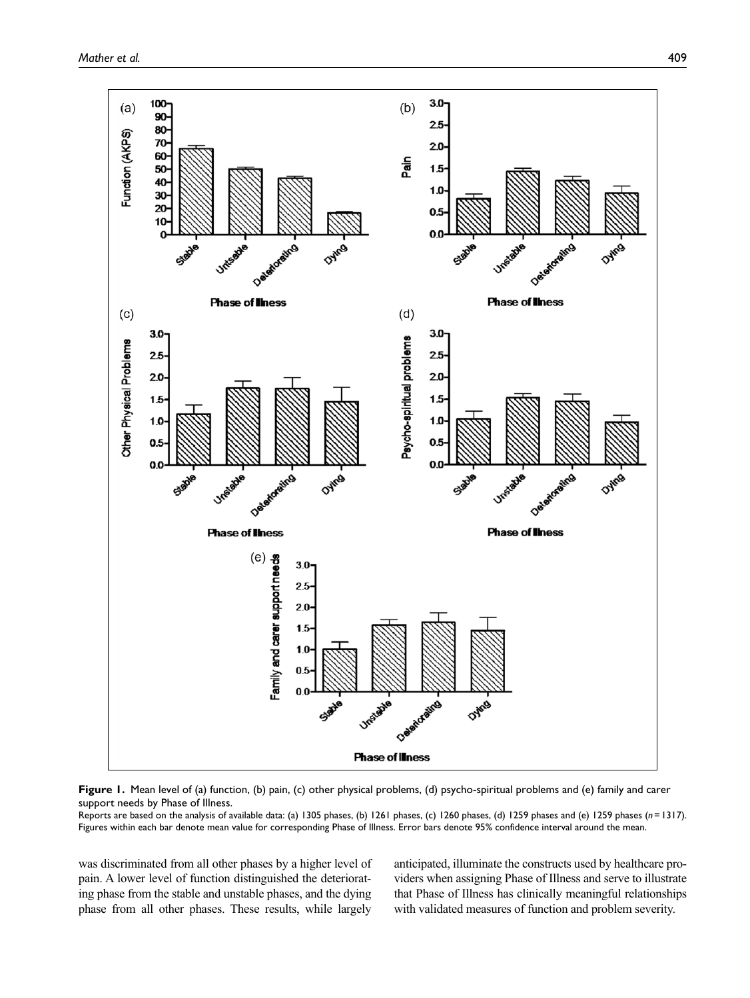

**Figure 1.** Mean level of (a) function, (b) pain, (c) other physical problems, (d) psycho-spiritual problems and (e) family and carer support needs by Phase of Illness.

Reports are based on the analysis of available data: (a) 1305 phases, (b) 1261 phases, (c) 1260 phases, (d) 1259 phases and (e) 1259 phases (*n*=1317). Figures within each bar denote mean value for corresponding Phase of Illness. Error bars denote 95% confidence interval around the mean.

was discriminated from all other phases by a higher level of pain. A lower level of function distinguished the deteriorating phase from the stable and unstable phases, and the dying phase from all other phases. These results, while largely anticipated, illuminate the constructs used by healthcare providers when assigning Phase of Illness and serve to illustrate that Phase of Illness has clinically meaningful relationships with validated measures of function and problem severity.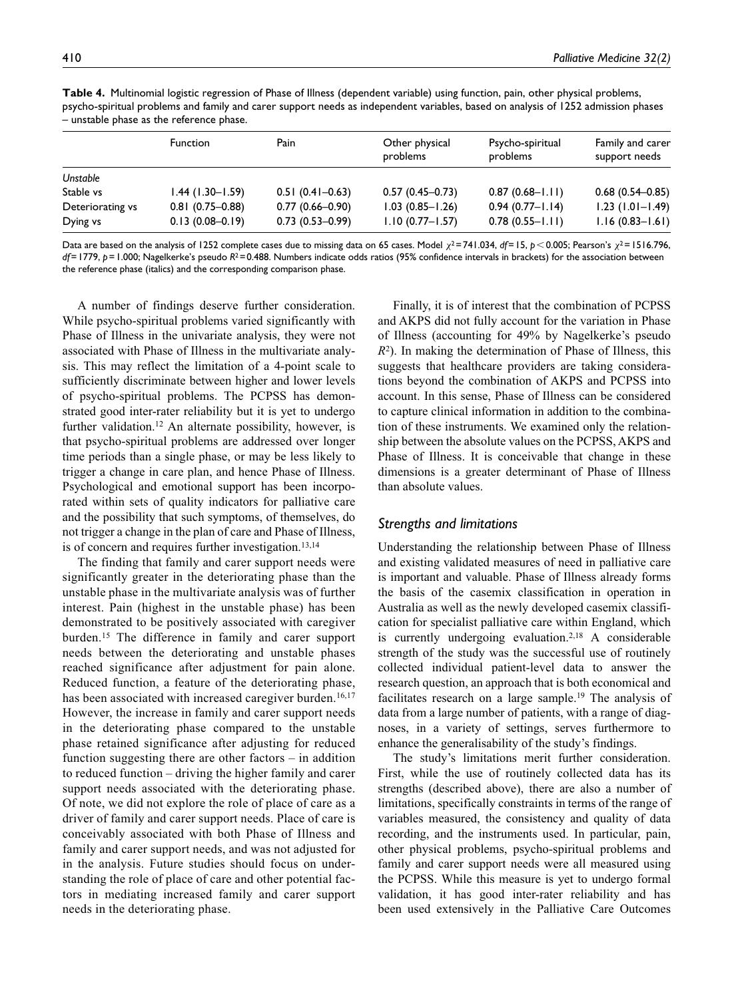**Table 4.** Multinomial logistic regression of Phase of Illness (dependent variable) using function, pain, other physical problems, psycho-spiritual problems and family and carer support needs as independent variables, based on analysis of 1252 admission phases – unstable phase as the reference phase.

|                  | <b>Function</b>     | Pain                | Other physical<br>problems | Psycho-spiritual<br>problems | Family and carer<br>support needs |
|------------------|---------------------|---------------------|----------------------------|------------------------------|-----------------------------------|
| Unstable         |                     |                     |                            |                              |                                   |
| Stable vs        | $1.44$ (1.30–1.59)  | $0.51(0.41 - 0.63)$ | $0.57(0.45 - 0.73)$        | $0.87(0.68 - 1.11)$          | $0.68(0.54 - 0.85)$               |
| Deteriorating vs | $0.81(0.75 - 0.88)$ | $0.77(0.66 - 0.90)$ | $1.03(0.85 - 1.26)$        | $0.94(0.77 - 1.14)$          | $1.23$ (1.01–1.49)                |
| Dying vs         | $0.13(0.08 - 0.19)$ | $0.73(0.53 - 0.99)$ | $1.10(0.77 - 1.57)$        | $0.78(0.55 - 1.11)$          | $1.16(0.83 - 1.61)$               |

Data are based on the analysis of 1252 complete cases due to missing data on 65 cases. Model *χ*<sup>2</sup>=741.034, *df* = 15, *p* < 0.005; Pearson's *χ*<sup>2</sup> = 1516.796, *df*=1779, *p*=1.000; Nagelkerke's pseudo *R*2=0.488. Numbers indicate odds ratios (95% confidence intervals in brackets) for the association between the reference phase (italics) and the corresponding comparison phase.

A number of findings deserve further consideration. While psycho-spiritual problems varied significantly with Phase of Illness in the univariate analysis, they were not associated with Phase of Illness in the multivariate analysis. This may reflect the limitation of a 4-point scale to sufficiently discriminate between higher and lower levels of psycho-spiritual problems. The PCPSS has demonstrated good inter-rater reliability but it is yet to undergo further validation.<sup>12</sup> An alternate possibility, however, is that psycho-spiritual problems are addressed over longer time periods than a single phase, or may be less likely to trigger a change in care plan, and hence Phase of Illness. Psychological and emotional support has been incorporated within sets of quality indicators for palliative care and the possibility that such symptoms, of themselves, do not trigger a change in the plan of care and Phase of Illness, is of concern and requires further investigation.<sup>13,14</sup>

The finding that family and carer support needs were significantly greater in the deteriorating phase than the unstable phase in the multivariate analysis was of further interest. Pain (highest in the unstable phase) has been demonstrated to be positively associated with caregiver burden.15 The difference in family and carer support needs between the deteriorating and unstable phases reached significance after adjustment for pain alone. Reduced function, a feature of the deteriorating phase, has been associated with increased caregiver burden.<sup>16,17</sup> However, the increase in family and carer support needs in the deteriorating phase compared to the unstable phase retained significance after adjusting for reduced function suggesting there are other factors – in addition to reduced function – driving the higher family and carer support needs associated with the deteriorating phase. Of note, we did not explore the role of place of care as a driver of family and carer support needs. Place of care is conceivably associated with both Phase of Illness and family and carer support needs, and was not adjusted for in the analysis. Future studies should focus on understanding the role of place of care and other potential factors in mediating increased family and carer support needs in the deteriorating phase.

Finally, it is of interest that the combination of PCPSS and AKPS did not fully account for the variation in Phase of Illness (accounting for 49% by Nagelkerke's pseudo *R*<sup>2</sup>). In making the determination of Phase of Illness, this suggests that healthcare providers are taking considerations beyond the combination of AKPS and PCPSS into account. In this sense, Phase of Illness can be considered to capture clinical information in addition to the combination of these instruments. We examined only the relationship between the absolute values on the PCPSS, AKPS and Phase of Illness. It is conceivable that change in these dimensions is a greater determinant of Phase of Illness than absolute values.

## *Strengths and limitations*

Understanding the relationship between Phase of Illness and existing validated measures of need in palliative care is important and valuable. Phase of Illness already forms the basis of the casemix classification in operation in Australia as well as the newly developed casemix classification for specialist palliative care within England, which is currently undergoing evaluation.<sup>2,18</sup> A considerable strength of the study was the successful use of routinely collected individual patient-level data to answer the research question, an approach that is both economical and facilitates research on a large sample.19 The analysis of data from a large number of patients, with a range of diagnoses, in a variety of settings, serves furthermore to enhance the generalisability of the study's findings.

The study's limitations merit further consideration. First, while the use of routinely collected data has its strengths (described above), there are also a number of limitations, specifically constraints in terms of the range of variables measured, the consistency and quality of data recording, and the instruments used. In particular, pain, other physical problems, psycho-spiritual problems and family and carer support needs were all measured using the PCPSS. While this measure is yet to undergo formal validation, it has good inter-rater reliability and has been used extensively in the Palliative Care Outcomes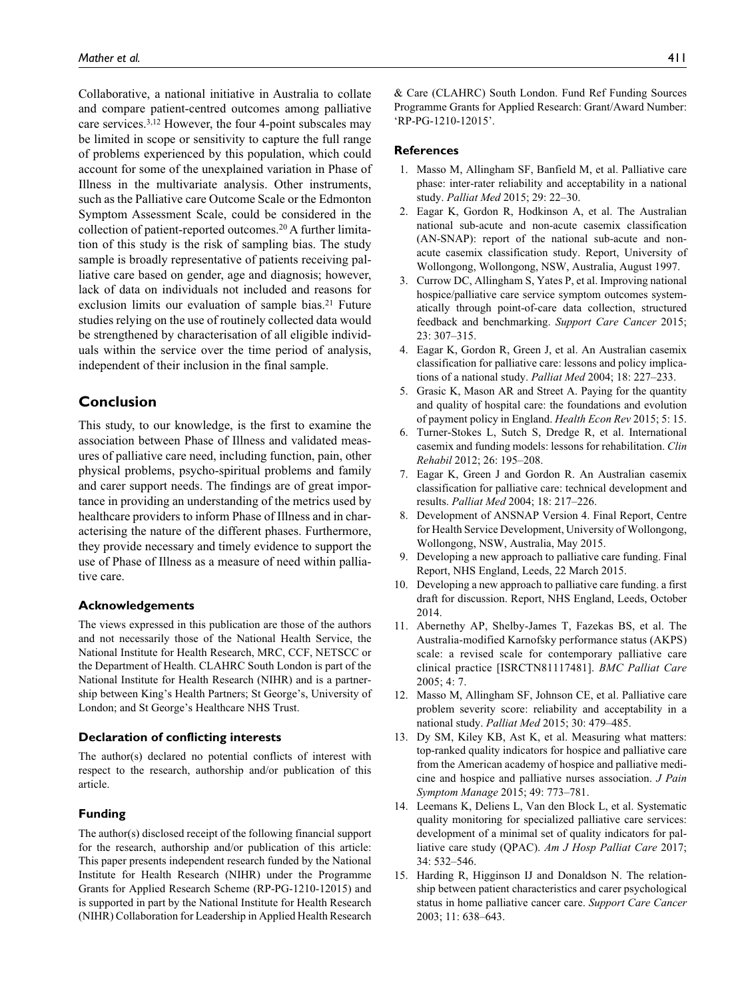Collaborative, a national initiative in Australia to collate and compare patient-centred outcomes among palliative care services.3,12 However, the four 4-point subscales may be limited in scope or sensitivity to capture the full range of problems experienced by this population, which could account for some of the unexplained variation in Phase of Illness in the multivariate analysis. Other instruments, such as the Palliative care Outcome Scale or the Edmonton Symptom Assessment Scale, could be considered in the collection of patient-reported outcomes.20 A further limitation of this study is the risk of sampling bias. The study sample is broadly representative of patients receiving palliative care based on gender, age and diagnosis; however, lack of data on individuals not included and reasons for exclusion limits our evaluation of sample bias.<sup>21</sup> Future studies relying on the use of routinely collected data would be strengthened by characterisation of all eligible individuals within the service over the time period of analysis, independent of their inclusion in the final sample.

## **Conclusion**

This study, to our knowledge, is the first to examine the association between Phase of Illness and validated measures of palliative care need, including function, pain, other physical problems, psycho-spiritual problems and family and carer support needs. The findings are of great importance in providing an understanding of the metrics used by healthcare providers to inform Phase of Illness and in characterising the nature of the different phases. Furthermore, they provide necessary and timely evidence to support the use of Phase of Illness as a measure of need within palliative care.

#### **Acknowledgements**

The views expressed in this publication are those of the authors and not necessarily those of the National Health Service, the National Institute for Health Research, MRC, CCF, NETSCC or the Department of Health. CLAHRC South London is part of the National Institute for Health Research (NIHR) and is a partnership between King's Health Partners; St George's, University of London; and St George's Healthcare NHS Trust.

#### **Declaration of conflicting interests**

The author(s) declared no potential conflicts of interest with respect to the research, authorship and/or publication of this article.

#### **Funding**

The author(s) disclosed receipt of the following financial support for the research, authorship and/or publication of this article: This paper presents independent research funded by the National Institute for Health Research (NIHR) under the Programme Grants for Applied Research Scheme (RP-PG-1210-12015) and is supported in part by the National Institute for Health Research (NIHR) Collaboration for Leadership in Applied Health Research

& Care (CLAHRC) South London. Fund Ref Funding Sources Programme Grants for Applied Research: Grant/Award Number: 'RP-PG-1210-12015'.

### **References**

- 1. Masso M, Allingham SF, Banfield M, et al. Palliative care phase: inter-rater reliability and acceptability in a national study. *Palliat Med* 2015; 29: 22–30.
- 2. Eagar K, Gordon R, Hodkinson A, et al. The Australian national sub-acute and non-acute casemix classification (AN-SNAP): report of the national sub-acute and nonacute casemix classification study. Report, University of Wollongong, Wollongong, NSW, Australia, August 1997.
- 3. Currow DC, Allingham S, Yates P, et al. Improving national hospice/palliative care service symptom outcomes systematically through point-of-care data collection, structured feedback and benchmarking. *Support Care Cancer* 2015; 23: 307–315.
- 4. Eagar K, Gordon R, Green J, et al. An Australian casemix classification for palliative care: lessons and policy implications of a national study. *Palliat Med* 2004; 18: 227–233.
- 5. Grasic K, Mason AR and Street A. Paying for the quantity and quality of hospital care: the foundations and evolution of payment policy in England. *Health Econ Rev* 2015; 5: 15.
- 6. Turner-Stokes L, Sutch S, Dredge R, et al. International casemix and funding models: lessons for rehabilitation. *Clin Rehabil* 2012; 26: 195–208.
- 7. Eagar K, Green J and Gordon R. An Australian casemix classification for palliative care: technical development and results. *Palliat Med* 2004; 18: 217–226.
- 8. Development of ANSNAP Version 4. Final Report, Centre for Health Service Development, University of Wollongong, Wollongong, NSW, Australia, May 2015.
- 9. Developing a new approach to palliative care funding. Final Report, NHS England, Leeds, 22 March 2015.
- 10. Developing a new approach to palliative care funding. a first draft for discussion. Report, NHS England, Leeds, October 2014.
- 11. Abernethy AP, Shelby-James T, Fazekas BS, et al. The Australia-modified Karnofsky performance status (AKPS) scale: a revised scale for contemporary palliative care clinical practice [ISRCTN81117481]. *BMC Palliat Care* 2005; 4: 7.
- 12. Masso M, Allingham SF, Johnson CE, et al. Palliative care problem severity score: reliability and acceptability in a national study. *Palliat Med* 2015; 30: 479–485.
- 13. Dy SM, Kiley KB, Ast K, et al. Measuring what matters: top-ranked quality indicators for hospice and palliative care from the American academy of hospice and palliative medicine and hospice and palliative nurses association. *J Pain Symptom Manage* 2015; 49: 773–781.
- 14. Leemans K, Deliens L, Van den Block L, et al. Systematic quality monitoring for specialized palliative care services: development of a minimal set of quality indicators for palliative care study (QPAC). *Am J Hosp Palliat Care* 2017; 34: 532–546.
- 15. Harding R, Higginson IJ and Donaldson N. The relationship between patient characteristics and carer psychological status in home palliative cancer care. *Support Care Cancer* 2003; 11: 638–643.